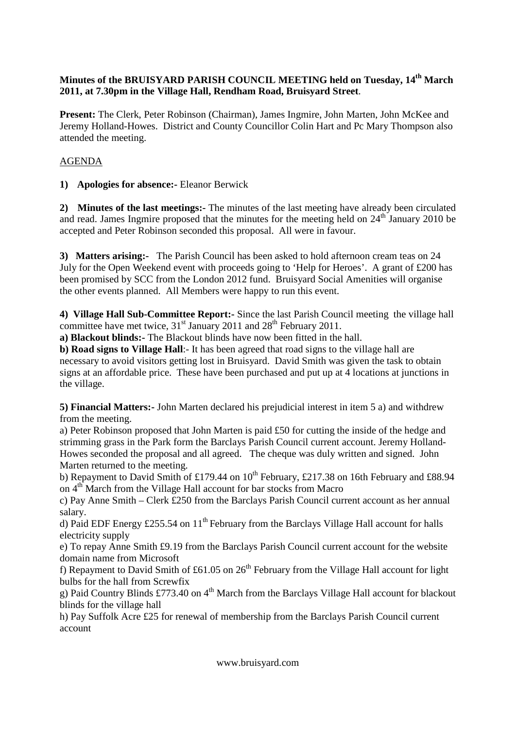## **Minutes of the BRUISYARD PARISH COUNCIL MEETING held on Tuesday, 14th March 2011, at 7.30pm in the Village Hall, Rendham Road, Bruisyard Street**.

**Present:** The Clerk, Peter Robinson (Chairman), James Ingmire, John Marten, John McKee and Jeremy Holland-Howes. District and County Councillor Colin Hart and Pc Mary Thompson also attended the meeting.

## AGENDA

**1) Apologies for absence:-** Eleanor Berwick

**2) Minutes of the last meetings:-** The minutes of the last meeting have already been circulated and read. James Ingmire proposed that the minutes for the meeting held on  $24<sup>th</sup>$  January 2010 be accepted and Peter Robinson seconded this proposal. All were in favour.

**3) Matters arising:-** The Parish Council has been asked to hold afternoon cream teas on 24 July for the Open Weekend event with proceeds going to 'Help for Heroes'. A grant of £200 has been promised by SCC from the London 2012 fund. Bruisyard Social Amenities will organise the other events planned. All Members were happy to run this event.

**4) Village Hall Sub-Committee Report:-** Since the last Parish Council meeting the village hall committee have met twice, 31<sup>st</sup> January 2011 and 28<sup>th</sup> February 2011.

**a) Blackout blinds:-** The Blackout blinds have now been fitted in the hall.

**b) Road signs to Village Hall**:- It has been agreed that road signs to the village hall are necessary to avoid visitors getting lost in Bruisyard. David Smith was given the task to obtain signs at an affordable price. These have been purchased and put up at 4 locations at junctions in the village.

**5) Financial Matters:-** John Marten declared his prejudicial interest in item 5 a) and withdrew from the meeting.

a) Peter Robinson proposed that John Marten is paid £50 for cutting the inside of the hedge and strimming grass in the Park form the Barclays Parish Council current account. Jeremy Holland-Howes seconded the proposal and all agreed. The cheque was duly written and signed. John Marten returned to the meeting.

b) Repayment to David Smith of £179.44 on  $10^{th}$  February, £217.38 on 16th February and £88.94 on 4<sup>th</sup> March from the Village Hall account for bar stocks from Macro

c) Pay Anne Smith – Clerk £250 from the Barclays Parish Council current account as her annual salary.

d) Paid EDF Energy £255.54 on  $11<sup>th</sup>$  February from the Barclays Village Hall account for halls electricity supply

e) To repay Anne Smith £9.19 from the Barclays Parish Council current account for the website domain name from Microsoft

f) Repayment to David Smith of £61.05 on  $26<sup>th</sup>$  February from the Village Hall account for light bulbs for the hall from Screwfix

g) Paid Country Blinds £773.40 on  $4<sup>th</sup>$  March from the Barclays Village Hall account for blackout blinds for the village hall

h) Pay Suffolk Acre £25 for renewal of membership from the Barclays Parish Council current account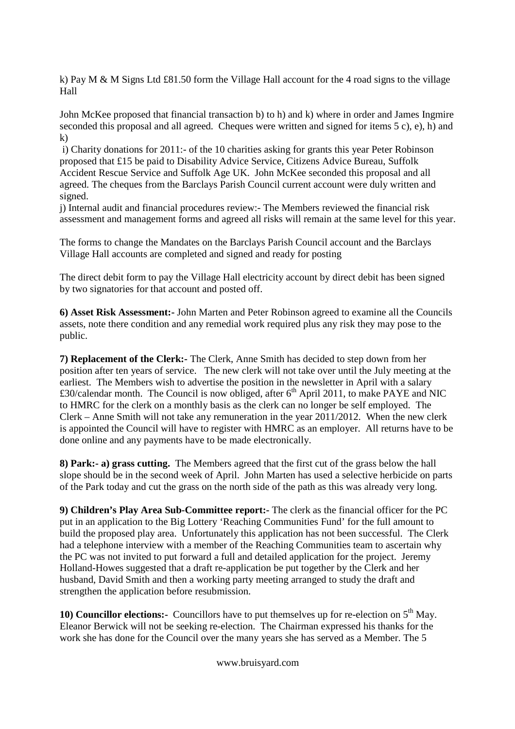k) Pay M & M Signs Ltd £81.50 form the Village Hall account for the 4 road signs to the village Hall

John McKee proposed that financial transaction b) to h) and k) where in order and James Ingmire seconded this proposal and all agreed. Cheques were written and signed for items 5 c), e), h) and k)

 i) Charity donations for 2011:- of the 10 charities asking for grants this year Peter Robinson proposed that £15 be paid to Disability Advice Service, Citizens Advice Bureau, Suffolk Accident Rescue Service and Suffolk Age UK. John McKee seconded this proposal and all agreed. The cheques from the Barclays Parish Council current account were duly written and signed.

j) Internal audit and financial procedures review:- The Members reviewed the financial risk assessment and management forms and agreed all risks will remain at the same level for this year.

The forms to change the Mandates on the Barclays Parish Council account and the Barclays Village Hall accounts are completed and signed and ready for posting

The direct debit form to pay the Village Hall electricity account by direct debit has been signed by two signatories for that account and posted off.

**6) Asset Risk Assessment:-** John Marten and Peter Robinson agreed to examine all the Councils assets, note there condition and any remedial work required plus any risk they may pose to the public.

**7) Replacement of the Clerk:-** The Clerk, Anne Smith has decided to step down from her position after ten years of service. The new clerk will not take over until the July meeting at the earliest. The Members wish to advertise the position in the newsletter in April with a salary £30/calendar month. The Council is now obliged, after  $6<sup>th</sup>$  April 2011, to make PAYE and NIC to HMRC for the clerk on a monthly basis as the clerk can no longer be self employed. The Clerk – Anne Smith will not take any remuneration in the year 2011/2012. When the new clerk is appointed the Council will have to register with HMRC as an employer. All returns have to be done online and any payments have to be made electronically.

**8) Park:- a) grass cutting.** The Members agreed that the first cut of the grass below the hall slope should be in the second week of April. John Marten has used a selective herbicide on parts of the Park today and cut the grass on the north side of the path as this was already very long.

**9) Children's Play Area Sub-Committee report:-** The clerk as the financial officer for the PC put in an application to the Big Lottery 'Reaching Communities Fund' for the full amount to build the proposed play area. Unfortunately this application has not been successful. The Clerk had a telephone interview with a member of the Reaching Communities team to ascertain why the PC was not invited to put forward a full and detailed application for the project. Jeremy Holland-Howes suggested that a draft re-application be put together by the Clerk and her husband, David Smith and then a working party meeting arranged to study the draft and strengthen the application before resubmission.

**10) Councillor elections:** Councillors have to put themselves up for re-election on 5<sup>th</sup> May. Eleanor Berwick will not be seeking re-election. The Chairman expressed his thanks for the work she has done for the Council over the many years she has served as a Member. The 5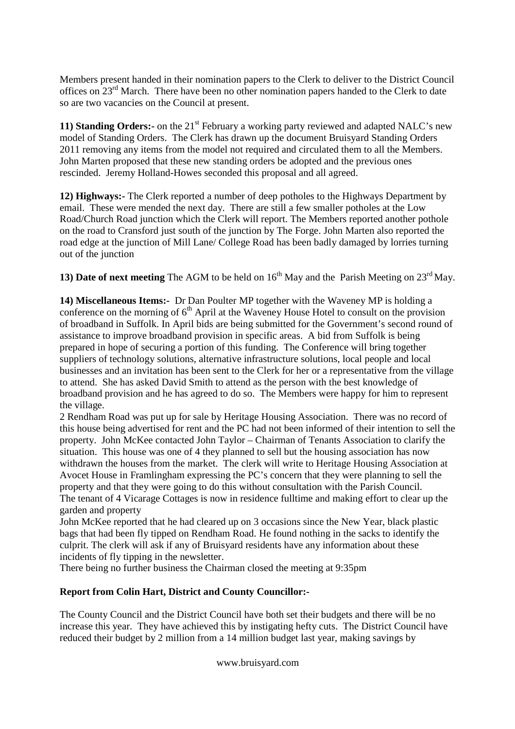Members present handed in their nomination papers to the Clerk to deliver to the District Council offices on 23rd March. There have been no other nomination papers handed to the Clerk to date so are two vacancies on the Council at present.

**11) Standing Orders:-** on the 21<sup>st</sup> February a working party reviewed and adapted NALC's new model of Standing Orders. The Clerk has drawn up the document Bruisyard Standing Orders 2011 removing any items from the model not required and circulated them to all the Members. John Marten proposed that these new standing orders be adopted and the previous ones rescinded. Jeremy Holland-Howes seconded this proposal and all agreed.

**12) Highways:-** The Clerk reported a number of deep potholes to the Highways Department by email. These were mended the next day. There are still a few smaller potholes at the Low Road/Church Road junction which the Clerk will report. The Members reported another pothole on the road to Cransford just south of the junction by The Forge. John Marten also reported the road edge at the junction of Mill Lane/ College Road has been badly damaged by lorries turning out of the junction

**13) Date of next meeting** The AGM to be held on  $16<sup>th</sup>$  May and the Parish Meeting on  $23<sup>rd</sup>$  May.

**14) Miscellaneous Items:-** Dr Dan Poulter MP together with the Waveney MP is holding a conference on the morning of  $6<sup>th</sup>$  April at the Waveney House Hotel to consult on the provision of broadband in Suffolk. In April bids are being submitted for the Government's second round of assistance to improve broadband provision in specific areas. A bid from Suffolk is being prepared in hope of securing a portion of this funding. The Conference will bring together suppliers of technology solutions, alternative infrastructure solutions, local people and local businesses and an invitation has been sent to the Clerk for her or a representative from the village to attend. She has asked David Smith to attend as the person with the best knowledge of broadband provision and he has agreed to do so. The Members were happy for him to represent the village.

2 Rendham Road was put up for sale by Heritage Housing Association. There was no record of this house being advertised for rent and the PC had not been informed of their intention to sell the property. John McKee contacted John Taylor – Chairman of Tenants Association to clarify the situation. This house was one of 4 they planned to sell but the housing association has now withdrawn the houses from the market. The clerk will write to Heritage Housing Association at Avocet House in Framlingham expressing the PC's concern that they were planning to sell the property and that they were going to do this without consultation with the Parish Council. The tenant of 4 Vicarage Cottages is now in residence fulltime and making effort to clear up the garden and property

John McKee reported that he had cleared up on 3 occasions since the New Year, black plastic bags that had been fly tipped on Rendham Road. He found nothing in the sacks to identify the culprit. The clerk will ask if any of Bruisyard residents have any information about these incidents of fly tipping in the newsletter.

There being no further business the Chairman closed the meeting at 9:35pm

## **Report from Colin Hart, District and County Councillor:-**

The County Council and the District Council have both set their budgets and there will be no increase this year. They have achieved this by instigating hefty cuts. The District Council have reduced their budget by 2 million from a 14 million budget last year, making savings by